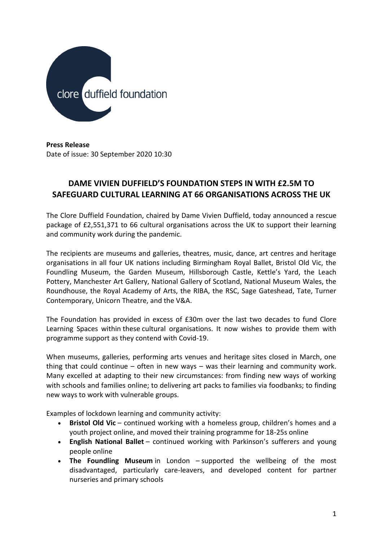

**Press Release** Date of issue: 30 September 2020 10:30

# **DAME VIVIEN DUFFIELD'S FOUNDATION STEPS IN WITH £2.5M TO SAFEGUARD CULTURAL LEARNING AT 66 ORGANISATIONS ACROSS THE UK**

The Clore Duffield Foundation, chaired by Dame Vivien Duffield, today announced a rescue package of £2,551,371 to 66 cultural organisations across the UK to support their learning and community work during the pandemic.

The recipients are museums and galleries, theatres, music, dance, art centres and heritage organisations in all four UK nations including Birmingham Royal Ballet, Bristol Old Vic, the Foundling Museum, the Garden Museum, Hillsborough Castle, Kettle's Yard, the Leach Pottery, Manchester Art Gallery, National Gallery of Scotland, National Museum Wales, the Roundhouse, the Royal Academy of Arts, the RIBA, the RSC, Sage Gateshead, Tate, Turner Contemporary, Unicorn Theatre, and the V&A.

The Foundation has provided in excess of £30m over the last two decades to fund Clore Learning Spaces within these cultural organisations. It now wishes to provide them with programme support as they contend with Covid-19.

When museums, galleries, performing arts venues and heritage sites closed in March, one thing that could continue – often in new ways – was their learning and community work. Many excelled at adapting to their new circumstances: from finding new ways of working with schools and families online; to delivering art packs to families via foodbanks; to finding new ways to work with vulnerable groups.

Examples of lockdown learning and community activity:

- **Bristol Old Vic** continued working with a homeless group, children's homes and a youth project online, and moved their training programme for 18-25s online
- **English National Ballet** continued working with Parkinson's sufferers and young people online
- **The Foundling Museum** in London supported the wellbeing of the most disadvantaged, particularly care-leavers, and developed content for partner nurseries and primary schools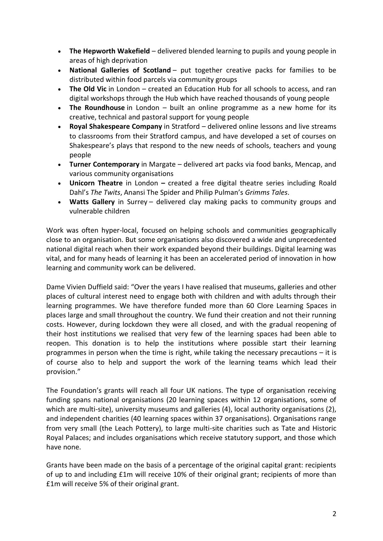- **The Hepworth Wakefield** delivered blended learning to pupils and young people in areas of high deprivation
- **National Galleries of Scotland** put together creative packs for families to be distributed within food parcels via community groups
- **The Old Vic** in London created an Education Hub for all schools to access, and ran digital workshops through the Hub which have reached thousands of young people
- **The Roundhouse** in London built an online programme as a new home for its creative, technical and pastoral support for young people
- **Royal Shakespeare Company** in Stratford delivered online lessons and live streams to classrooms from their Stratford campus, and have developed a set of courses on Shakespeare's plays that respond to the new needs of schools, teachers and young people
- **Turner Contemporary** in Margate delivered art packs via food banks, Mencap, and various community organisations
- **Unicorn Theatre** in London **–** created a free digital theatre series including Roald Dahl's *The Twits*, Anansi The Spider and Philip Pulman's *Grimms Tales*.
- **Watts Gallery** in Surrey delivered clay making packs to community groups and vulnerable children

Work was often hyper-local, focused on helping schools and communities geographically close to an organisation. But some organisations also discovered a wide and unprecedented national digital reach when their work expanded beyond their buildings. Digital learning was vital, and for many heads of learning it has been an accelerated period of innovation in how learning and community work can be delivered.

Dame Vivien Duffield said: "Over the years I have realised that museums, galleries and other places of cultural interest need to engage both with children and with adults through their learning programmes. We have therefore funded more than 60 Clore Learning Spaces in places large and small throughout the country. We fund their creation and not their running costs. However, during lockdown they were all closed, and with the gradual reopening of their host institutions we realised that very few of the learning spaces had been able to reopen. This donation is to help the institutions where possible start their learning programmes in person when the time is right, while taking the necessary precautions – it is of course also to help and support the work of the learning teams which lead their provision."

The Foundation's grants will reach all four UK nations. The type of organisation receiving funding spans national organisations (20 learning spaces within 12 organisations, some of which are multi-site), university museums and galleries (4), local authority organisations (2), and independent charities (40 learning spaces within 37 organisations). Organisations range from very small (the Leach Pottery), to large multi-site charities such as Tate and Historic Royal Palaces; and includes organisations which receive statutory support, and those which have none.

Grants have been made on the basis of a percentage of the original capital grant: recipients of up to and including £1m will receive 10% of their original grant; recipients of more than £1m will receive 5% of their original grant.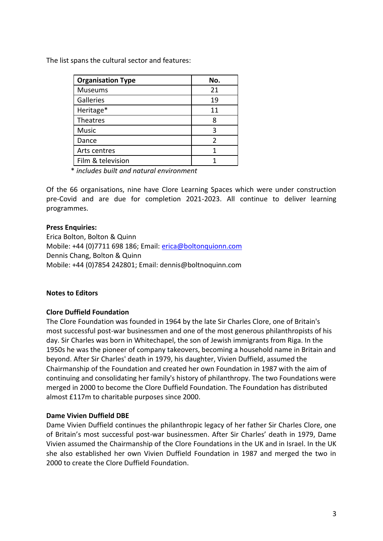The list spans the cultural sector and features:

| <b>Organisation Type</b> | No. |
|--------------------------|-----|
| Museums                  | 21  |
| Galleries                | 19  |
| Heritage*                | 11  |
| Theatres                 | 8   |
| <b>Music</b>             | З   |
| Dance                    | 2   |
| Arts centres             |     |
| Film & television        |     |

\* *includes built and natural environment*

Of the 66 organisations, nine have Clore Learning Spaces which were under construction pre-Covid and are due for completion 2021-2023. All continue to deliver learning programmes.

#### **Press Enquiries:**

Erica Bolton, Bolton & Quinn Mobile: +44 (0)7711 698 186; Email: [erica@boltonquionn.com](mailto:erica@boltonquionn.com) Dennis Chang, Bolton & Quinn Mobile: +44 (0)7854 242801; Email: dennis@boltnoquinn.com

## **Notes to Editors**

## **Clore Duffield Foundation**

The Clore Foundation was founded in 1964 by the late Sir Charles Clore, one of Britain's most successful post-war businessmen and one of the most generous philanthropists of his day. Sir Charles was born in Whitechapel, the son of Jewish immigrants from Riga. In the 1950s he was the pioneer of company takeovers, becoming a household name in Britain and beyond. After Sir Charles' death in 1979, his daughter, Vivien Duffield, assumed the Chairmanship of the Foundation and created her own Foundation in 1987 with the aim of continuing and consolidating her family's history of philanthropy. The two Foundations were merged in 2000 to become the Clore Duffield Foundation. The Foundation has distributed almost £117m to charitable purposes since 2000.

#### **Dame Vivien Duffield DBE**

Dame Vivien Duffield continues the philanthropic legacy of her father Sir Charles Clore, one of Britain's most successful post-war businessmen. After Sir Charles' death in 1979, Dame Vivien assumed the Chairmanship of the Clore Foundations in the UK and in Israel. In the UK she also established her own Vivien Duffield Foundation in 1987 and merged the two in 2000 to create the Clore Duffield Foundation.